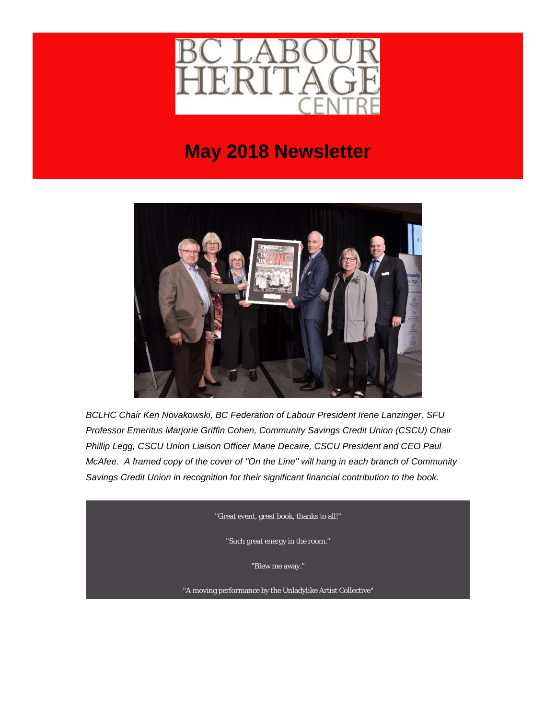

## **May 2018 Newsletter**



*BCLHC Chair Ken Novakowski, BC Federation of Labour President Irene Lanzinger, SFU Professor Emeritus Marjorie Griffin Cohen, Community Savings Credit Union (CSCU) Chair Phillip Legg, CSCU Union Liaison Officer Marie Decaire, CSCU President and CEO Paul McAfee. A framed copy of the cover of "On the Line" will hang in each branch of Community Savings Credit Union in recognition for their significant financial contribution to the book.*

"Great event, great book, thanks to all!"

"Such great energy in the room."

"Blew me away."

"A moving performance by the Unladylike Artist Collective"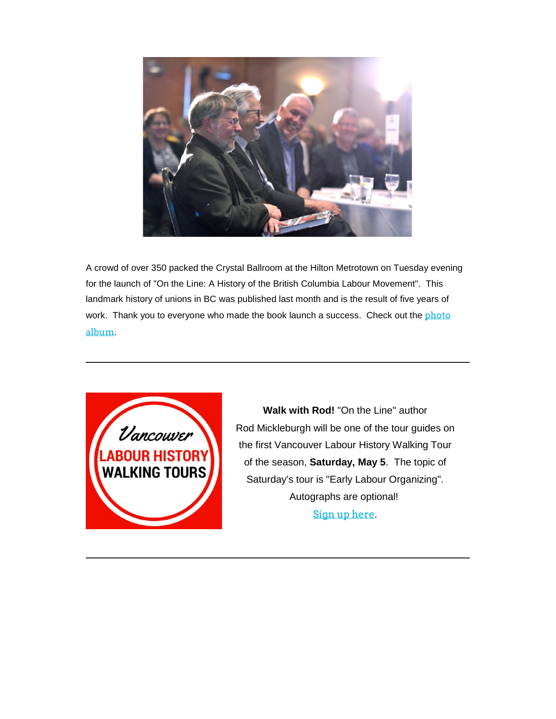

A crowd of over 350 packed the Crystal Ballroom at the Hilton Metrotown on Tuesday evening for the launch of "On the Line: A History of the British Columbia Labour Movement". This landmark history of unions in BC was published last month and is the result of five years of work. Thank you to everyone who made the book launch a success. Check out the photo [album](https://labourheritagecentre.us11.list-manage.com/track/click?u=b23ed6ed54b024abb4a310921&id=9d71ce87b0&e=5ec666d8ef).



**Walk with Rod!** "On the Line" author Rod Mickleburgh will be one of the tour guides on the first Vancouver Labour History Walking Tour of the season, **Saturday, May 5**. The topic of Saturday's tour is "Early Labour Organizing". Autographs are optional! [Sign up here](https://labourheritagecentre.us11.list-manage.com/track/click?u=b23ed6ed54b024abb4a310921&id=807d5da91b&e=5ec666d8ef).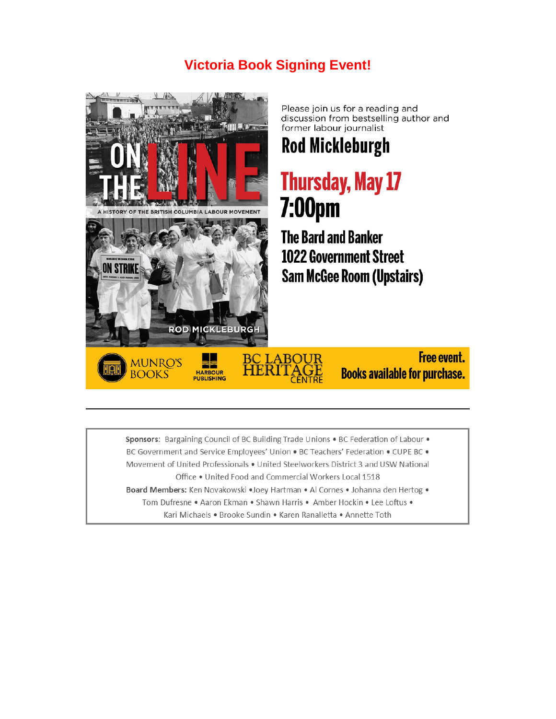### **Victoria Book Signing Event!**



Please join us for a reading and discussion from bestselling author and former labour journalist

## **Rod Mickleburgh**

# **Thursday, May 17 7:00pm**

**The Bard and Banker 1022 Government Street Sam McGee Room (Upstairs)** 



**Free event. Books available for purchase.** 

Sponsors: Bargaining Council of BC Building Trade Unions . BC Federation of Labour . BC Government and Service Employees' Union . BC Teachers' Federation . CUPE BC . Movement of United Professionals . United Steelworkers District 3 and USW National Office . United Food and Commercial Workers Local 1518 Board Members: Ken Novakowski · Joey Hartman · Al Cornes · Johanna den Hertog · Tom Dufresne . Aaron Ekman . Shawn Harris . Amber Hockin . Lee Loftus .

Kari Michaels . Brooke Sundin . Karen Ranalletta . Annette Toth